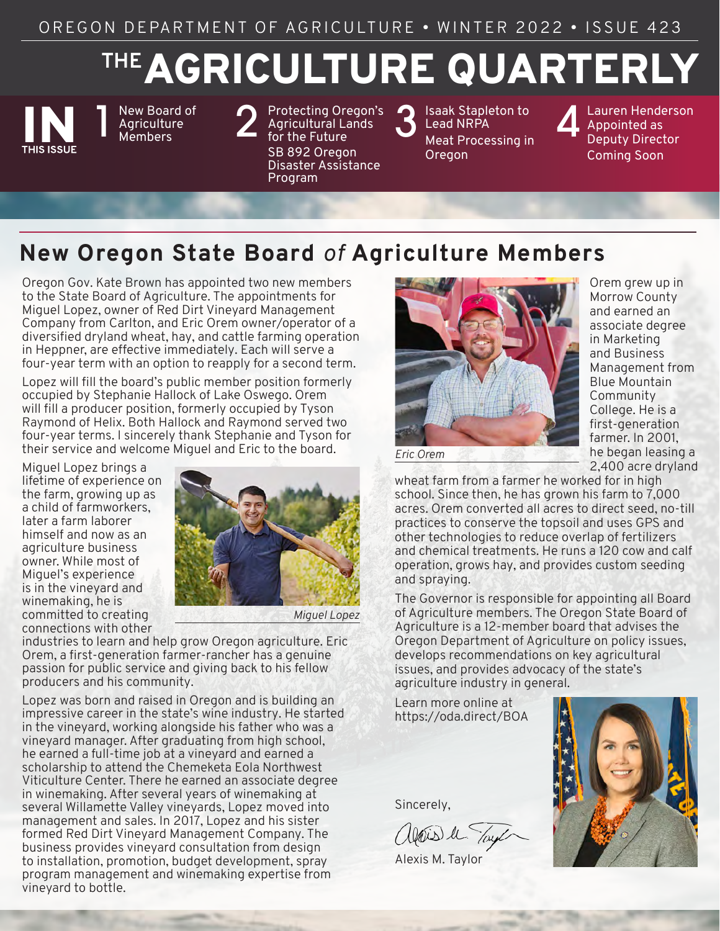OREGON DEPARTMENT OF AGRICULTURE • WINTER 2022 • ISSUE 423

# AGRICULTURE QUARTERLY **THE**



New Board of<br>Agriculture<br>Members **Agriculture** 

New Board of **2** [Protecting Oregon's](#page-1-0) Agriculture<br>Agriculture **2** Agricultural Lands<br>Members **2** for the Future Agricultural Lands for the Future SB 892 Oregon Disaster Assistance Program

3 Isaak Stapleton to<br>3 Lead NRPA<br>Meat Processing in Lead NRPA [Meat Processing in](#page-2-0)  Oregon

Lauren Henderson Appointed as Deputy Director Coming Soon

# **New Oregon State Board** *of* **Agriculture Members**

Oregon Gov. Kate Brown has appointed two new members to the State Board of Agriculture. The appointments for Miguel Lopez, owner of Red Dirt Vineyard Management Company from Carlton, and Eric Orem owner/operator of a diversified dryland wheat, hay, and cattle farming operation in Heppner, are effective immediately. Each will serve a four-year term with an option to reapply for a second term.

Lopez will fill the board's public member position formerly occupied by Stephanie Hallock of Lake Oswego. Orem will fill a producer position, formerly occupied by Tyson Raymond of Helix. Both Hallock and Raymond served two four-year terms. I sincerely thank Stephanie and Tyson for their service and welcome Miguel and Eric to the board.

Miguel Lopez brings a lifetime of experience on the farm, growing up as a child of farmworkers, later a farm laborer himself and now as an agriculture business owner. While most of Miguel's experience is in the vineyard and winemaking, he is committed to creating connections with other



*Miguel Lopez*

industries to learn and help grow Oregon agriculture. Eric Orem, a first-generation farmer-rancher has a genuine passion for public service and giving back to his fellow producers and his community.

Lopez was born and raised in Oregon and is building an impressive career in the state's wine industry. He started in the vineyard, working alongside his father who was a vineyard manager. After graduating from high school, he earned a full-time job at a vineyard and earned a scholarship to attend the Chemeketa Eola Northwest Viticulture Center. There he earned an associate degree in winemaking. After several years of winemaking at several Willamette Valley vineyards, Lopez moved into management and sales. In 2017, Lopez and his sister formed Red Dirt Vineyard Management Company. The business provides vineyard consultation from design to installation, promotion, budget development, spray program management and winemaking expertise from vineyard to bottle.



Orem grew up in Morrow County and earned an associate degree in Marketing and Business Management from Blue Mountain Community College. He is a first-generation farmer. In 2001, he began leasing a 2,400 acre dryland

*Eric Orem*

wheat farm from a farmer he worked for in high school. Since then, he has grown his farm to 7,000 acres. Orem converted all acres to direct seed, no-till practices to conserve the topsoil and uses GPS and other technologies to reduce overlap of fertilizers and chemical treatments. He runs a 120 cow and calf operation, grows hay, and provides custom seeding and spraying.

The Governor is responsible for appointing all Board of Agriculture members. The Oregon State Board of Agriculture is a 12-member board that advises the Oregon Department of Agriculture on policy issues, develops recommendations on key agricultural issues, and provides advocacy of the state's agriculture industry in general.

Learn more online at https://oda.direct/BOA

Sincerely,

alais le Tayl

Alexis M. Taylor

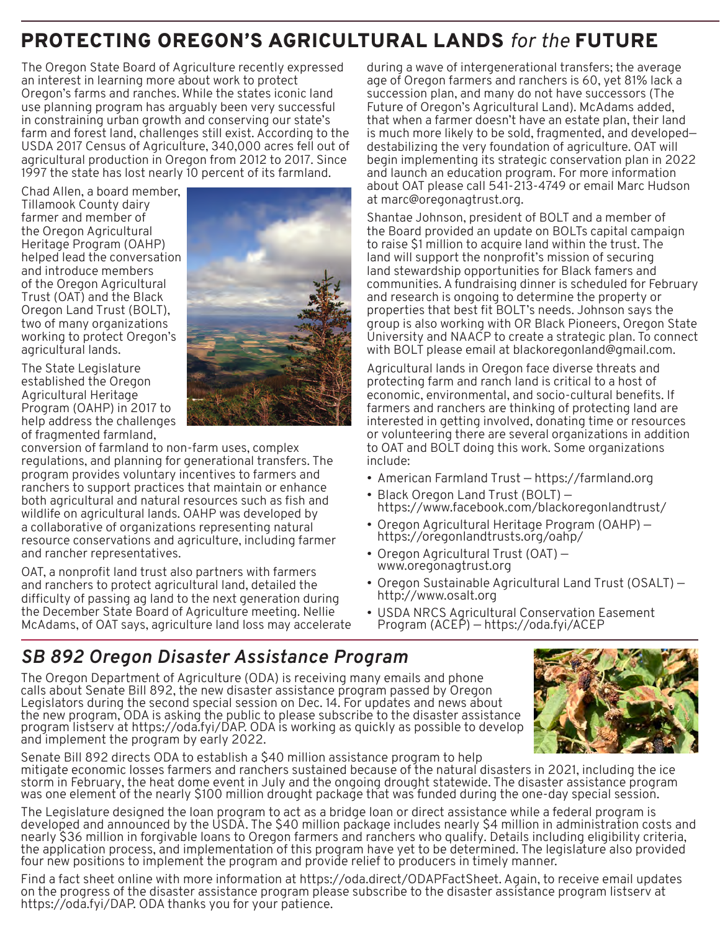# <span id="page-1-0"></span>PROTECTING OREGON'S AGRICULTURAL LANDS *for the* FUTURE

The Oregon State Board of Agriculture recently expressed an interest in learning more about work to protect Oregon's farms and ranches. While the states iconic land use planning program has arguably been very successful in constraining urban growth and conserving our state's farm and forest land, challenges still exist. According to the USDA 2017 Census of Agriculture, 340,000 acres fell out of agricultural production in Oregon from 2012 to 2017. Since 1997 the state has lost nearly 10 percent of its farmland.

Chad Allen, a board member, Tillamook County dairy farmer and member of the Oregon Agricultural Heritage Program (OAHP) helped lead the conversation and introduce members of the Oregon Agricultural Trust (OAT) and the Black Oregon Land Trust (BOLT), two of many organizations working to protect Oregon's agricultural lands.



The State Legislature established the Oregon Agricultural Heritage Program (OAHP) in 2017 to help address the challenges of fragmented farmland,

conversion of farmland to non-farm uses, complex regulations, and planning for generational transfers. The program provides voluntary incentives to farmers and ranchers to support practices that maintain or enhance both agricultural and natural resources such as fish and wildlife on agricultural lands. OAHP was developed by a collaborative of organizations representing natural resource conservations and agriculture, including farmer and rancher representatives.

OAT, a nonprofit land trust also partners with farmers and ranchers to protect agricultural land, detailed the difficulty of passing ag land to the next generation during the December State Board of Agriculture meeting. Nellie McAdams, of OAT says, agriculture land loss may accelerate during a wave of intergenerational transfers; the average age of Oregon farmers and ranchers is 60, yet 81% lack a succession plan, and many do not have successors (The Future of Oregon's Agricultural Land). McAdams added, that when a farmer doesn't have an estate plan, their land is much more likely to be sold, fragmented, and developed destabilizing the very foundation of agriculture. OAT will begin implementing its strategic conservation plan in 2022 and launch an education program. For more information about OAT please call 541-213-4749 or email Marc Hudson at marc@oregonagtrust.org.

Shantae Johnson, president of BOLT and a member of the Board provided an update on BOLTs capital campaign to raise \$1 million to acquire land within the trust. The land will support the nonprofit's mission of securing land stewardship opportunities for Black famers and communities. A fundraising dinner is scheduled for February and research is ongoing to determine the property or properties that best fit BOLT's needs. Johnson says the group is also working with OR Black Pioneers, Oregon State University and NAACP to create a strategic plan. To connect with BOLT please email at blackoregonland@gmail.com.

Agricultural lands in Oregon face diverse threats and protecting farm and ranch land is critical to a host of economic, environmental, and socio-cultural benefits. If farmers and ranchers are thinking of protecting land are interested in getting involved, donating time or resources or volunteering there are several organizations in addition to OAT and BOLT doing this work. Some organizations include:

- American Farmland Trust https://farmland.org
- Black Oregon Land Trust (BOLT) https://www.facebook.com/blackoregonlandtrust/
- Oregon Agricultural Heritage Program (OAHP) https://oregonlandtrusts.org/oahp/
- Oregon Agricultural Trust (OAT) www.oregonagtrust.org
- Oregon Sustainable Agricultural Land Trust (OSALT) http://www.osalt.org
- USDA NRCS Agricultural Conservation Easement Program (ACEP) — https://oda.fyi/ACEP

## *SB 892 Oregon Disaster Assistance Program*

The Oregon Department of Agriculture (ODA) is receiving many emails and phone calls about Senate Bill 892, the new disaster assistance program passed by Oregon Legislators during the second special session on Dec. 14. For updates and news about the new program, ODA is asking the public to please subscribe to the disaster assistance program listserv at https://oda.fyi/DAP. ODA is working as quickly as possible to develop and implement the program by early 2022.



Senate Bill 892 directs ODA to establish a \$40 million assistance program to help mitigate economic losses farmers and ranchers sustained because of the natural disasters in 2021, including the ice storm in February, the heat dome event in July and the ongoing drought statewide. The disaster assistance program was one element of the nearly \$100 million drought package that was funded during the one-day special session.

The Legislature designed the loan program to act as a bridge loan or direct assistance while a federal program is developed and announced by the USDA. The \$40 million package includes nearly \$4 million in administration costs and nearly \$36 million in forgivable loans to Oregon farmers and ranchers who qualify. Details including eligibility criteria, the application process, and implementation of this program have yet to be determined. The legislature also provided four new positions to implement the program and provide relief to producers in timely manner.

Find a fact sheet online with more information at https://oda.direct/ODAPFactSheet. Again, to receive email updates on the progress of the disaster assistance program please subscribe to the disaster assistance program listserv at https://oda.fyi/DAP. ODA thanks you for your patience.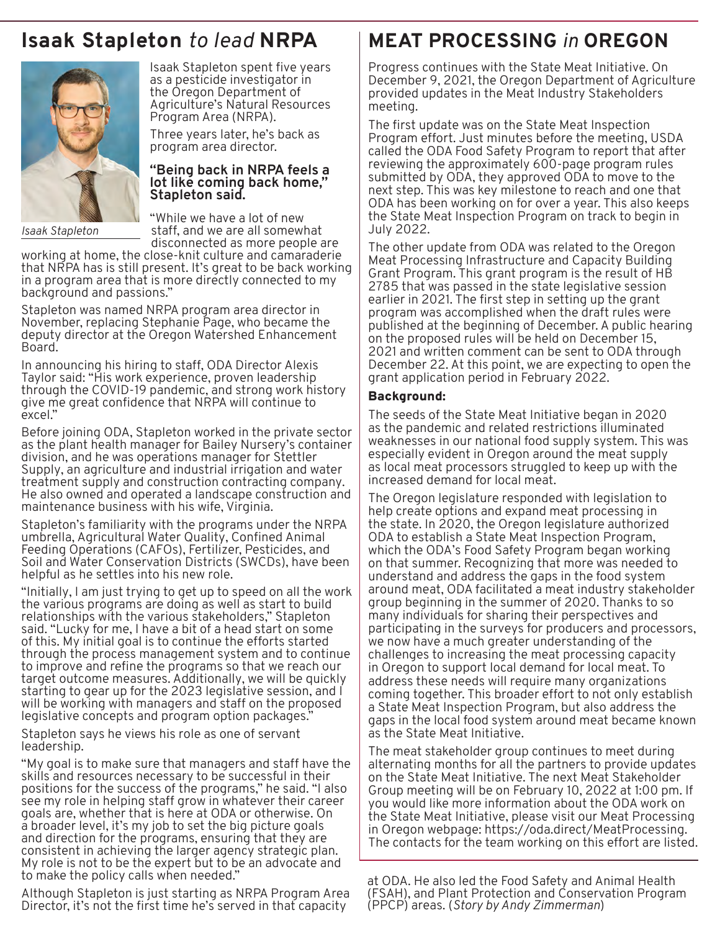# <span id="page-2-0"></span>**Isaak Stapleton** *to lead* **NRPA**



*Isaak Stapleton*

Isaak Stapleton spent five years as a pesticide investigator in the Oregon Department of Agriculture's Natural Resources Program Area (NRPA).

Three years later, he's back as program area director.

#### **"Being back in NRPA feels a lot like coming back home," Stapleton said.**

"While we have a lot of new staff, and we are all somewhat disconnected as more people are

working at home, the close-knit culture and camaraderie that NRPA has is still present. It's great to be back working in a program area that is more directly connected to my background and passions."

Stapleton was named NRPA program area director in November, replacing Stephanie Page, who became the deputy director at the Oregon Watershed Enhancement Board.

In announcing his hiring to staff, ODA Director Alexis Taylor said: "His work experience, proven leadership through the COVID-19 pandemic, and strong work history give me great confidence that NRPA will continue to excel."

Before joining ODA, Stapleton worked in the private sector as the plant health manager for Bailey Nursery's container division, and he was operations manager for Stettler Supply, an agriculture and industrial irrigation and water treatment supply and construction contracting company. He also owned and operated a landscape construction and maintenance business with his wife, Virginia.

Stapleton's familiarity with the programs under the NRPA umbrella, Agricultural Water Quality, Confined Animal Feeding Operations (CAFOs), Fertilizer, Pesticides, and Soil and Water Conservation Districts (SWCDs), have been helpful as he settles into his new role.

"Initially, I am just trying to get up to speed on all the work the various programs are doing as well as start to build relationships with the various stakeholders," Stapleton said. "Lucky for me, I have a bit of a head start on some of this. My initial goal is to continue the efforts started through the process management system and to continue to improve and refine the programs so that we reach our target outcome measures. Additionally, we will be quickly starting to gear up for the 2023 legislative session, and I will be working with managers and staff on the proposed legislative concepts and program option packages."

Stapleton says he views his role as one of servant leadership.

"My goal is to make sure that managers and staff have the skills and resources necessary to be successful in their positions for the success of the programs," he said. "I also see my role in helping staff grow in whatever their career goals are, whether that is here at ODA or otherwise. On a broader level, it's my job to set the big picture goals and direction for the programs, ensuring that they are consistent in achieving the larger agency strategic plan. My role is not to be the expert but to be an advocate and to make the policy calls when needed."

Although Stapleton is just starting as NRPA Program Area Director, it's not the first time he's served in that capacity

# **MEAT PROCESSING** *in* **OREGON**

Progress continues with the State Meat Initiative. On December 9, 2021, the Oregon Department of Agriculture provided updates in the Meat Industry Stakeholders meeting.

The first update was on the State Meat Inspection Program effort. Just minutes before the meeting, USDA called the ODA Food Safety Program to report that after reviewing the approximately 600-page program rules submitted by ODA, they approved ODA to move to the next step. This was key milestone to reach and one that ODA has been working on for over a year. This also keeps the State Meat Inspection Program on track to begin in July 2022.

The other update from ODA was related to the Oregon Meat Processing Infrastructure and Capacity Building Grant Program. This grant program is the result of HB 2785 that was passed in the state legislative session earlier in 2021. The first step in setting up the grant program was accomplished when the draft rules were published at the beginning of December. A public hearing on the proposed rules will be held on December 15, 2021 and written comment can be sent to ODA through December 22. At this point, we are expecting to open the grant application period in February 2022.

### Background:

The seeds of the State Meat Initiative began in 2020 as the pandemic and related restrictions illuminated weaknesses in our national food supply system. This was especially evident in Oregon around the meat supply as local meat processors struggled to keep up with the increased demand for local meat.

The Oregon legislature responded with legislation to help create options and expand meat processing in the state. In 2020, the Oregon legislature authorized ODA to establish a State Meat Inspection Program, which the ODA's Food Safety Program began working on that summer. Recognizing that more was needed to understand and address the gaps in the food system around meat, ODA facilitated a meat industry stakeholder group beginning in the summer of 2020. Thanks to so many individuals for sharing their perspectives and participating in the surveys for producers and processors, we now have a much greater understanding of the challenges to increasing the meat processing capacity in Oregon to support local demand for local meat. To address these needs will require many organizations coming together. This broader effort to not only establish a State Meat Inspection Program, but also address the gaps in the local food system around meat became known as the State Meat Initiative.

The meat stakeholder group continues to meet during alternating months for all the partners to provide updates on the State Meat Initiative. The next Meat Stakeholder Group meeting will be on February 10, 2022 at 1:00 pm. If you would like more information about the ODA work on the State Meat Initiative, please visit our Meat Processing in Oregon webpage: https://oda.direct/MeatProcessing. The contacts for the team working on this effort are listed.

at ODA. He also led the Food Safety and Animal Health (FSAH), and Plant Protection and Conservation Program (PPCP) areas. (*Story by Andy Zimmerman*)